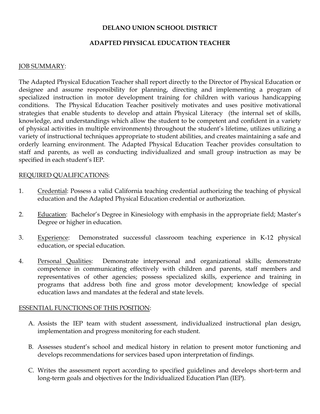### DELANO UNION SCHOOL DISTRICT

## ADAPTED PHYSICAL EDUCATION TEACHER

### JOB SUMMARY:

The Adapted Physical Education Teacher shall report directly to the Director of Physical Education or designee and assume responsibility for planning, directing and implementing a program of specialized instruction in motor development training for children with various handicapping conditions. The Physical Education Teacher positively motivates and uses positive motivational strategies that enable students to develop and attain Physical Literacy (the internal set of skills, knowledge, and understandings which allow the student to be competent and confident in a variety of physical activities in multiple environments) throughout the student's lifetime, utilizes utilizing a variety of instructional techniques appropriate to student abilities, and creates maintaining a safe and orderly learning environment. The Adapted Physical Education Teacher provides consultation to staff and parents, as well as conducting individualized and small group instruction as may be specified in each student's IEP.

### REQUIRED QUALIFICATIONS:

- 1. Credential: Possess a valid California teaching credential authorizing the teaching of physical education and the Adapted Physical Education credential or authorization.
- 2. Education: Bachelor's Degree in Kinesiology with emphasis in the appropriate field; Master's Degree or higher in education.
- 3. Experience: Demonstrated successful classroom teaching experience in K-12 physical education, or special education.
- 4. Personal Qualities: Demonstrate interpersonal and organizational skills; demonstrate competence in communicating effectively with children and parents, staff members and representatives of other agencies; possess specialized skills, experience and training in programs that address both fine and gross motor development; knowledge of special education laws and mandates at the federal and state levels.

#### ESSENTIAL FUNCTIONS OF THIS POSITION:

- A. Assists the IEP team with student assessment, individualized instructional plan design, implementation and progress monitoring for each student.
- B. Assesses student's school and medical history in relation to present motor functioning and develops recommendations for services based upon interpretation of findings.
- C. Writes the assessment report according to specified guidelines and develops short-term and long-term goals and objectives for the Individualized Education Plan (IEP).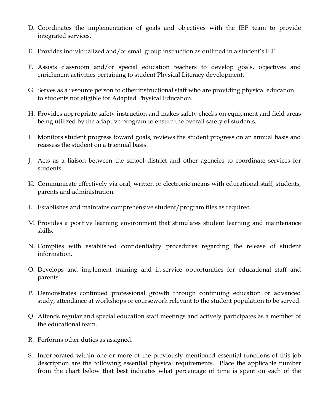- D. Coordinates the implementation of goals and objectives with the IEP team to provide integrated services.
- E. Provides individualized and/or small group instruction as outlined in a student's IEP.
- F. Assists classroom and/or special education teachers to develop goals, objectives and enrichment activities pertaining to student Physical Literacy development.
- G. Serves as a resource person to other instructional staff who are providing physical education to students not eligible for Adapted Physical Education.
- H. Provides appropriate safety instruction and makes safety checks on equipment and field areas being utilized by the adaptive program to ensure the overall safety of students.
- I. Monitors student progress toward goals, reviews the student progress on an annual basis and reassess the student on a triennial basis.
- J. Acts as a liaison between the school district and other agencies to coordinate services for students.
- K. Communicate effectively via oral, written or electronic means with educational staff, students, parents and administration.
- L. Establishes and maintains comprehensive student/program files as required.
- M. Provides a positive learning environment that stimulates student learning and maintenance skills.
- N. Complies with established confidentiality procedures regarding the release of student information.
- O. Develops and implement training and in-service opportunities for educational staff and parents.
- P. Demonstrates continued professional growth through continuing education or advanced study, attendance at workshops or coursework relevant to the student population to be served.
- Q. Attends regular and special education staff meetings and actively participates as a member of the educational team.
- R. Performs other duties as assigned.
- S. Incorporated within one or more of the previously mentioned essential functions of this job description are the following essential physical requirements. Place the applicable number from the chart below that best indicates what percentage of time is spent on each of the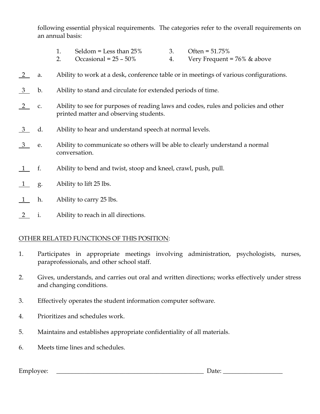following essential physical requirements. The categories refer to the overall requirements on an annual basis:

- 1. Seldom = Less than  $25\%$  3. Often =  $51.75\%$
- 2. Occasional =  $25 50\%$  4. Very Frequent =  $76\%$  & above
- 2 a. Ability to work at a desk, conference table or in meetings of various configurations.
- 3 b. Ability to stand and circulate for extended periods of time.
- 2 c. Ability to see for purposes of reading laws and codes, rules and policies and other printed matter and observing students.
- 3 d. Ability to hear and understand speech at normal levels.
- 3 e. Ability to communicate so others will be able to clearly understand a normal conversation.
- 1 f. Ability to bend and twist, stoop and kneel, crawl, push, pull.
- 1 g. Ability to lift 25 lbs.
- 1 h. Ability to carry 25 lbs.
- 2 i. Ability to reach in all directions.

# OTHER RELATED FUNCTIONS OF THIS POSITION:

- 1. Participates in appropriate meetings involving administration, psychologists, nurses, paraprofessionals, and other school staff.
- 2. Gives, understands, and carries out oral and written directions; works effectively under stress and changing conditions.
- 3. Effectively operates the student information computer software.
- 4. Prioritizes and schedules work.
- 5. Maintains and establishes appropriate confidentiality of all materials.
- 6. Meets time lines and schedules.

Employee: \_\_\_\_\_\_\_\_\_\_\_\_\_\_\_\_\_\_\_\_\_\_\_\_\_\_\_\_\_\_\_\_\_\_\_\_\_\_\_\_\_\_\_\_\_\_\_ Date: \_\_\_\_\_\_\_\_\_\_\_\_\_\_\_\_\_\_\_